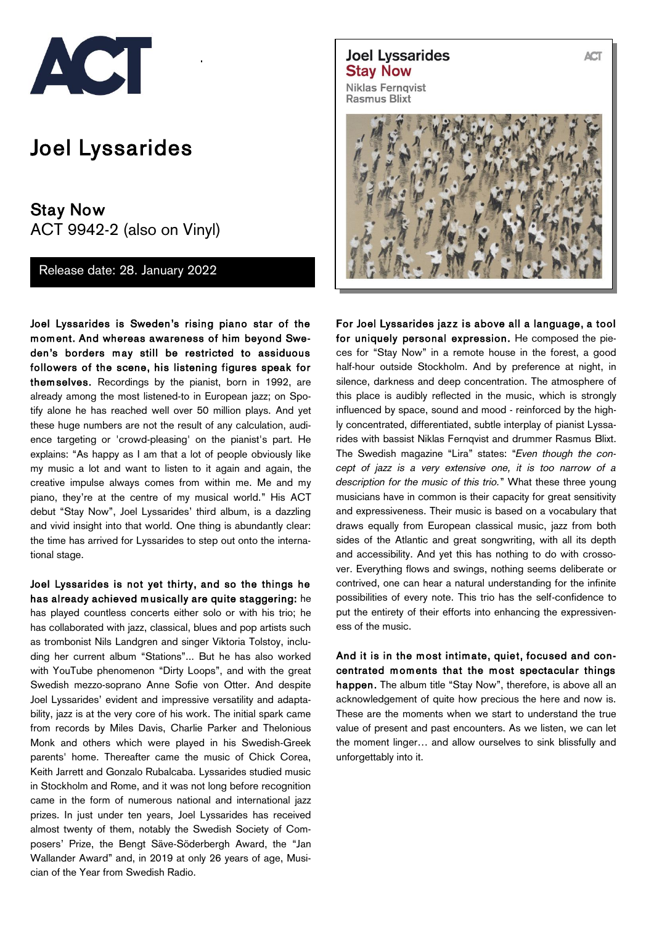

## Joel Lyssarides

Stay Now ACT 9942-2 (also on Vinyl)

Release date: 28. January 2022

Joel Lyssarides is Sweden's rising piano star of the m om ent. And whereas awareness of him beyond Sweden's borders m ay still be restricted to assiduous followers of the scene, his listening figures speak for them selves. Recordings by the pianist, born in 1992, are already among the most listened-to in European jazz; on Spotify alone he has reached well over 50 million plays. And yet these huge numbers are not the result of any calculation, audience targeting or 'crowd-pleasing' on the pianist's part. He explains: "As happy as I am that a lot of people obviously like my music a lot and want to listen to it again and again, the creative impulse always comes from within me. Me and my piano, they're at the centre of my musical world." His ACT debut "Stay Now", Joel Lyssarides' third album, is a dazzling and vivid insight into that world. One thing is abundantly clear: the time has arrived for Lyssarides to step out onto the international stage.

Joel Lyssarides is not yet thirty, and so the things he has already achieved musically are quite staggering: he has played countless concerts either solo or with his trio; he has collaborated with jazz, classical, blues and pop artists such as trombonist Nils Landgren and singer Viktoria Tolstoy, including her current album "Stations"... But he has also worked with YouTube phenomenon "Dirty Loops", and with the great Swedish mezzo-soprano Anne Sofie von Otter. And despite Joel Lyssarides' evident and impressive versatility and adaptability, jazz is at the very core of his work. The initial spark came from records by Miles Davis, Charlie Parker and Thelonious Monk and others which were played in his Swedish-Greek parents' home. Thereafter came the music of Chick Corea, Keith Jarrett and Gonzalo Rubalcaba. Lyssarides studied music in Stockholm and Rome, and it was not long before recognition came in the form of numerous national and international jazz prizes. In just under ten years, Joel Lyssarides has received almost twenty of them, notably the Swedish Society of Composers' Prize, the Bengt Säve-Söderbergh Award, the "Jan Wallander Award" and, in 2019 at only 26 years of age, Musician of the Year from Swedish Radio.

**Joel Lyssarides Stay Now** 

**Niklas Fernqvist Rasmus Blixt** 



For Joel Lyssarides jazz is above all a language, a tool for uniquely personal expression. He composed the pieces for "Stay Now" in a remote house in the forest, a good half-hour outside Stockholm. And by preference at night, in silence, darkness and deep concentration. The atmosphere of this place is audibly reflected in the music, which is strongly influenced by space, sound and mood - reinforced by the highly concentrated, differentiated, subtle interplay of pianist Lyssarides with bassist Niklas Fernqvist and drummer Rasmus Blixt. The Swedish magazine "Lira" states: "*Even though the concept of jazz is a very extensive one, it is too narrow of a description for the music of this trio.*" What these three young musicians have in common is their capacity for great sensitivity and expressiveness. Their music is based on a vocabulary that draws equally from European classical music, jazz from both sides of the Atlantic and great songwriting, with all its depth and accessibility. And yet this has nothing to do with crossover. Everything flows and swings, nothing seems deliberate or contrived, one can hear a natural understanding for the infinite possibilities of every note. This trio has the self-confidence to put the entirety of their efforts into enhancing the expressiveness of the music.

And it is in the most intimate, quiet, focused and concentrated moments that the most spectacular things happen. The album title "Stay Now", therefore, is above all an acknowledgement of quite how precious the here and now is. These are the moments when we start to understand the true value of present and past encounters. As we listen, we can let the moment linger… and allow ourselves to sink blissfully and unforgettably into it.